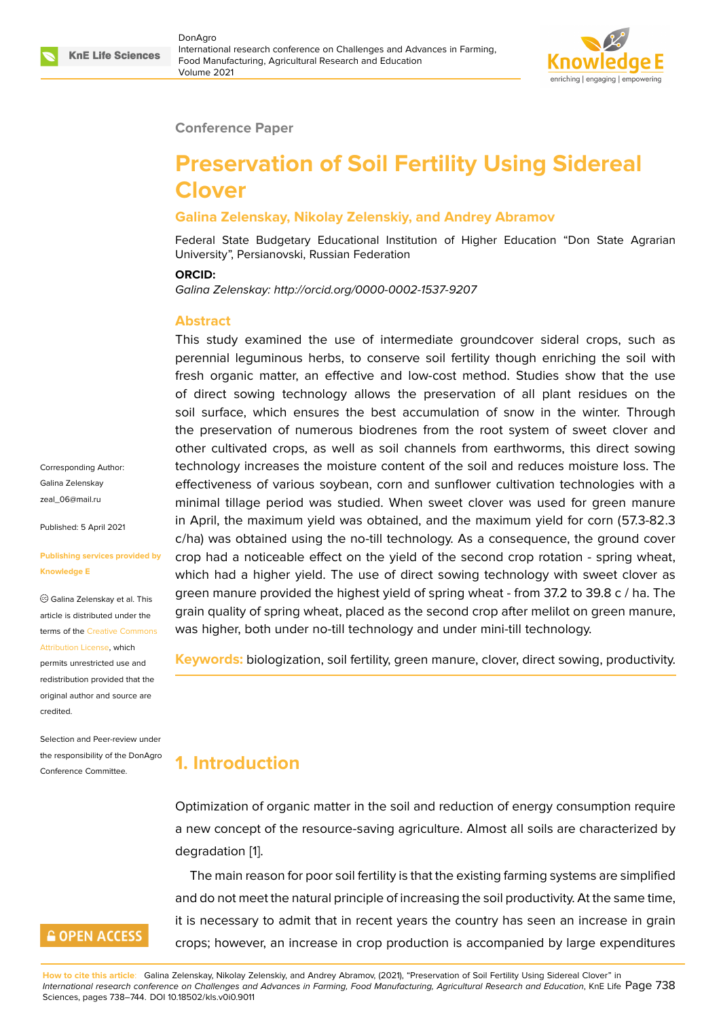

#### **Conference Paper**

# **Preservation of Soil Fertility Using Sidereal Clover**

#### **Galina Zelenskay, Nikolay Zelenskiy, and Andrey Abramov**

Federal State Budgetary Educational Institution of Higher Education "Don State Agrarian University", Persianovski, Russian Federation

#### **ORCID:**

*Galina Zelenskay: http://orcid.org/0000-0002-1537-9207*

#### **Abstract**

This study examined the use of intermediate groundcover sideral crops, such as perennial leguminous herbs, to conserve soil fertility though enriching the soil with fresh organic matter, an effective and low-cost method. Studies show that the use of direct sowing technology allows the preservation of all plant residues on the soil surface, which ensures the best accumulation of snow in the winter. Through the preservation of numerous biodrenes from the root system of sweet clover and other cultivated crops, as well as soil channels from earthworms, this direct sowing technology increases the moisture content of the soil and reduces moisture loss. The effectiveness of various soybean, corn and sunflower cultivation technologies with a minimal tillage period was studied. When sweet clover was used for green manure in April, the maximum yield was obtained, and the maximum yield for corn (57.3-82.3 c/ha) was obtained using the no-till technology. As a consequence, the ground cover crop had a noticeable effect on the yield of the second crop rotation - spring wheat, which had a higher yield. The use of direct sowing technology with sweet clover as green manure provided the highest yield of spring wheat - from 37.2 to 39.8 c / ha. The grain quality of spring wheat, placed as the second crop after melilot on green manure, was higher, both under no-till technology and under mini-till technology.

**Keywords:** biologization, soil fertility, green manure, clover, direct sowing, productivity.

# **1. Introduction**

Optimization of organic matter in the soil and reduction of energy consumption require a new concept of the resource-saving agriculture. Almost all soils are characterized by degradation [1].

The main reason for poor soil fertility is that the existing farming systems are simplified and do not meet the natural principle of increasing the soil productivity. At the same time, it is necessar[y](#page-5-0) to admit that in recent years the country has seen an increase in grain crops; however, an increase in crop production is accompanied by large expenditures

**How to cite this article**: Galina Zelenskay, Nikolay Zelenskiy, and Andrey Abramov, (2021), "Preservation of Soil Fertility Using Sidereal Clover" in *International research conference on Challenges and Advances in Farming, Food Manufacturing, Agricultural Research and Education*, KnE Life Page 738 Sciences, pages 738–744. DOI 10.18502/kls.v0i0.9011

Corresponding Author: Galina Zelenskay zeal\_06@mail.ru

Published: 5 April 2021

#### **[Publishing servi](mailto:zeal_06@mail.ru)ces provided by Knowledge E**

Galina Zelenskay et al. This article is distributed under the terms of the Creative Commons Attribution License, which

permits unrestricted use and redistribution provided that the original auth[or and source are](https://creativecommons.org/licenses/by/4.0/) [credited.](https://creativecommons.org/licenses/by/4.0/)

Selection and Peer-review under the responsibility of the DonAgro Conference Committee.

### **GOPEN ACCESS**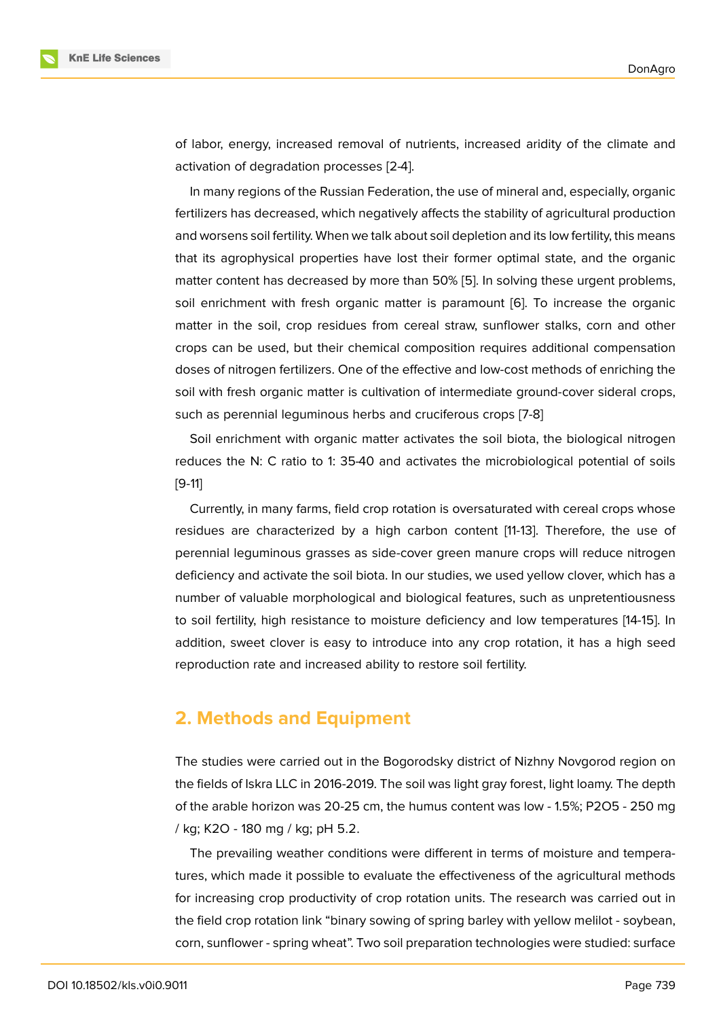of labor, energy, increased removal of nutrients, increased aridity of the climate and activation of degradation processes [2-4].

In many regions of the Russian Federation, the use of mineral and, especially, organic fertilizers has decreased, which negatively affects the stability of agricultural production and worsens soil fertility. When we talk about soil depletion and its low fertility, this means that its agrophysical properties have lost their former optimal state, and the organic matter content has decreased by more than 50% [5]. In solving these urgent problems, soil enrichment with fresh organic matter is paramount [6]. To increase the organic matter in the soil, crop residues from cereal straw, sunflower stalks, corn and other crops can be used, but their chemical compositi[on](#page-6-0) requires additional compensation doses of nitrogen fertilizers. One of the effective and low-c[os](#page-6-1)t methods of enriching the soil with fresh organic matter is cultivation of intermediate ground-cover sideral crops, such as perennial leguminous herbs and cruciferous crops [7-8]

Soil enrichment with organic matter activates the soil biota, the biological nitrogen reduces the N: C ratio to 1: 35-40 and activates the microbiological potential of soils [9-11]

Currently, in many farms, field crop rotation is oversaturated with cereal crops whose residues are characterized by a high carbon content [11-13]. Therefore, the use of perennial leguminous grasses as side-cover green manure crops will reduce nitrogen deficiency and activate the soil biota. In our studies, we used yellow clover, which has a number of valuable morphological and biological features, such as unpretentiousness to soil fertility, high resistance to moisture deficiency and low temperatures [14-15]. In addition, sweet clover is easy to introduce into any crop rotation, it has a high seed reproduction rate and increased ability to restore soil fertility.

### **2. Methods and Equipment**

The studies were carried out in the Bogorodsky district of Nizhny Novgorod region on the fields of Iskra LLC in 2016-2019. The soil was light gray forest, light loamy. The depth of the arable horizon was 20-25 cm, the humus content was low - 1.5%; P2O5 - 250 mg / kg; K2O - 180 mg / kg; pH 5.2.

The prevailing weather conditions were different in terms of moisture and temperatures, which made it possible to evaluate the effectiveness of the agricultural methods for increasing crop productivity of crop rotation units. The research was carried out in the field crop rotation link "binary sowing of spring barley with yellow melilot - soybean, corn, sunflower - spring wheat". Two soil preparation technologies were studied: surface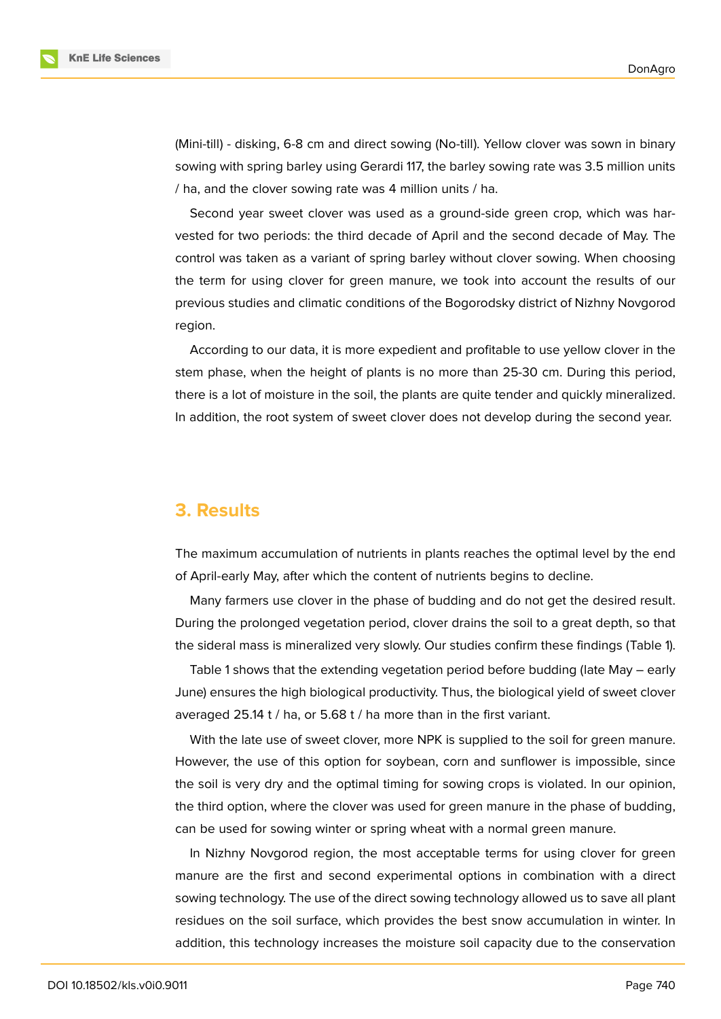

(Mini-till) - disking, 6-8 cm and direct sowing (No-till). Yellow clover was sown in binary sowing with spring barley using Gerardi 117, the barley sowing rate was 3.5 million units / ha, and the clover sowing rate was 4 million units / ha.

Second year sweet clover was used as a ground-side green crop, which was harvested for two periods: the third decade of April and the second decade of May. The control was taken as a variant of spring barley without clover sowing. When choosing the term for using clover for green manure, we took into account the results of our previous studies and climatic conditions of the Bogorodsky district of Nizhny Novgorod region.

According to our data, it is more expedient and profitable to use yellow clover in the stem phase, when the height of plants is no more than 25-30 cm. During this period, there is a lot of moisture in the soil, the plants are quite tender and quickly mineralized. In addition, the root system of sweet clover does not develop during the second year.

### **3. Results**

The maximum accumulation of nutrients in plants reaches the optimal level by the end of April-early May, after which the content of nutrients begins to decline.

Many farmers use clover in the phase of budding and do not get the desired result. During the prolonged vegetation period, clover drains the soil to a great depth, so that the sideral mass is mineralized very slowly. Our studies confirm these findings (Table 1).

Table 1 shows that the extending vegetation period before budding (late May – early June) ensures the high biological productivity. Thus, the biological yield of sweet clover averaged 25.14 t / ha, or 5.68 t / ha more than in the first variant.

With the late use of sweet clover, more NPK is supplied to the soil for green manure. However, the use of this option for soybean, corn and sunflower is impossible, since the soil is very dry and the optimal timing for sowing crops is violated. In our opinion, the third option, where the clover was used for green manure in the phase of budding, can be used for sowing winter or spring wheat with a normal green manure.

In Nizhny Novgorod region, the most acceptable terms for using clover for green manure are the first and second experimental options in combination with a direct sowing technology. The use of the direct sowing technology allowed us to save all plant residues on the soil surface, which provides the best snow accumulation in winter. In addition, this technology increases the moisture soil capacity due to the conservation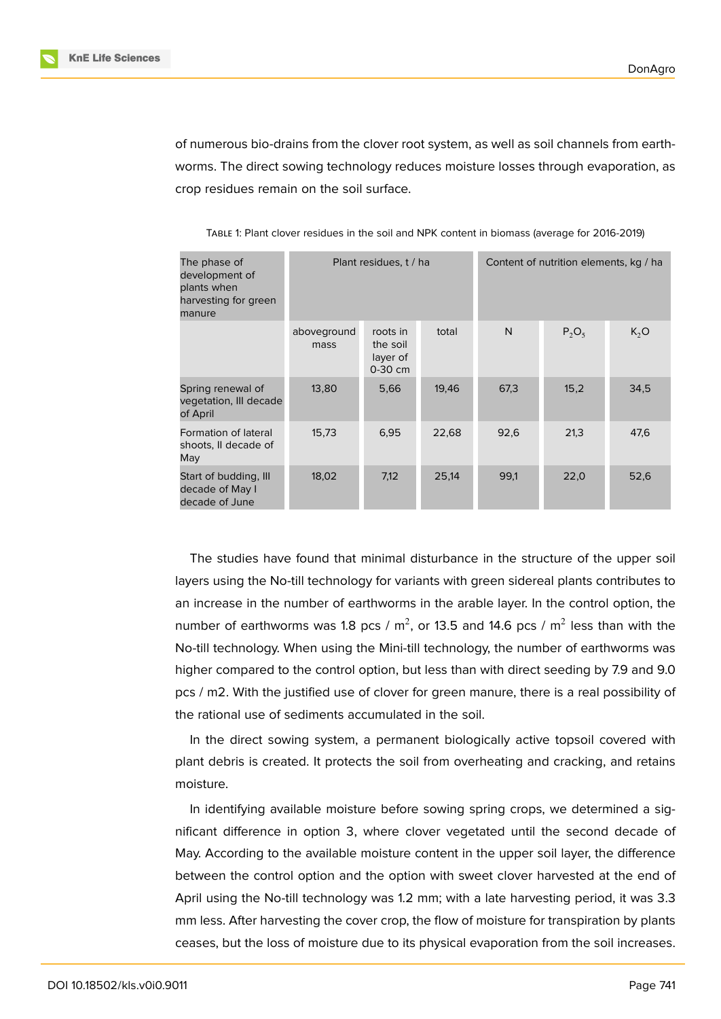of numerous bio-drains from the clover root system, as well as soil channels from earthworms. The direct sowing technology reduces moisture losses through evaporation, as crop residues remain on the soil surface.

| The phase of<br>development of<br>plants when<br>harvesting for green<br>manure |                     | Plant residues, t / ha                      |       | Content of nutrition elements, kg / ha |          |        |  |
|---------------------------------------------------------------------------------|---------------------|---------------------------------------------|-------|----------------------------------------|----------|--------|--|
|                                                                                 | aboveground<br>mass | roots in<br>the soil<br>layer of<br>0-30 cm | total | N                                      | $P_2O_5$ | $K_2O$ |  |
| Spring renewal of<br>vegetation, III decade<br>of April                         | 13,80               | 5,66                                        | 19,46 | 67,3                                   | 15,2     | 34,5   |  |
| Formation of lateral<br>shoots, II decade of<br>May                             | 15,73               | 6,95                                        | 22,68 | 92,6                                   | 21,3     | 47,6   |  |
| Start of budding, Ill<br>decade of May I<br>decade of June                      | 18,02               | 7,12                                        | 25,14 | 99,1                                   | 22,0     | 52,6   |  |

TABLE 1: Plant clover residues in the soil and NPK content in biomass (average for 2016-2019)

The studies have found that minimal disturbance in the structure of the upper soil layers using the No-till technology for variants with green sidereal plants contributes to an increase in the number of earthworms in the arable layer. In the control option, the number of earthworms was 1.8 pcs / m<sup>2</sup>, or 13.5 and 14.6 pcs / m<sup>2</sup> less than with the No-till technology. When using the Mini-till technology, the number of earthworms was higher compared to the control option, but less than with direct seeding by 7.9 and 9.0 pcs / m2. With the justified use of clover for green manure, there is a real possibility of the rational use of sediments accumulated in the soil.

In the direct sowing system, a permanent biologically active topsoil covered with plant debris is created. It protects the soil from overheating and cracking, and retains moisture.

In identifying available moisture before sowing spring crops, we determined a significant difference in option 3, where clover vegetated until the second decade of May. According to the available moisture content in the upper soil layer, the difference between the control option and the option with sweet clover harvested at the end of April using the No-till technology was 1.2 mm; with a late harvesting period, it was 3.3 mm less. After harvesting the cover crop, the flow of moisture for transpiration by plants ceases, but the loss of moisture due to its physical evaporation from the soil increases.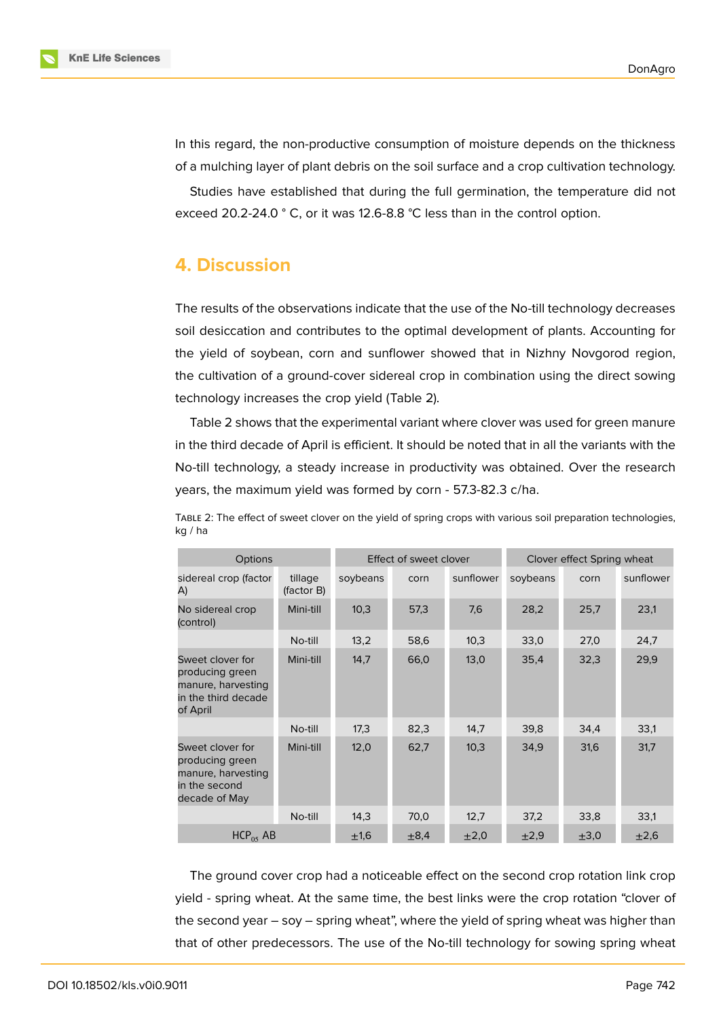

In this regard, the non-productive consumption of moisture depends on the thickness of a mulching layer of plant debris on the soil surface and a crop cultivation technology.

Studies have established that during the full germination, the temperature did not exceed 20.2-24.0 ° C, or it was 12.6-8.8 °C less than in the control option.

### **4. Discussion**

The results of the observations indicate that the use of the No-till technology decreases soil desiccation and contributes to the optimal development of plants. Accounting for the yield of soybean, corn and sunflower showed that in Nizhny Novgorod region, the cultivation of a ground-cover sidereal crop in combination using the direct sowing technology increases the crop yield (Table 2).

Table 2 shows that the experimental variant where clover was used for green manure in the third decade of April is efficient. It should be noted that in all the variants with the No-till technology, a steady increase in productivity was obtained. Over the research years, the maximum yield was formed by corn - 57.3-82.3 c/ha.

| <b>Options</b>                                                                               |                       | Effect of sweet clover |           |           | Clover effect Spring wheat |           |           |
|----------------------------------------------------------------------------------------------|-----------------------|------------------------|-----------|-----------|----------------------------|-----------|-----------|
| sidereal crop (factor<br>A)                                                                  | tillage<br>(factor B) | soybeans               | corn      | sunflower | soybeans                   | corn      | sunflower |
| No sidereal crop<br>(control)                                                                | Mini-till             | 10,3                   | 57,3      | 7,6       | 28,2                       | 25,7      | 23,1      |
|                                                                                              | No-till               | 13,2                   | 58,6      | 10,3      | 33,0                       | 27,0      | 24,7      |
| Sweet clover for<br>producing green<br>manure, harvesting<br>in the third decade<br>of April | Mini-till             | 14,7                   | 66,0      | 13,0      | 35,4                       | 32,3      | 29,9      |
|                                                                                              | No-till               | 17,3                   | 82,3      | 14,7      | 39,8                       | 34,4      | 33,1      |
| Sweet clover for<br>producing green<br>manure, harvesting<br>in the second<br>decade of May  | Mini-till             | 12,0                   | 62,7      | 10,3      | 34,9                       | 31,6      | 31,7      |
|                                                                                              | No-till               | 14,3                   | 70,0      | 12,7      | 37,2                       | 33,8      | 33,1      |
| HCP <sub>05</sub> AB                                                                         |                       | ±1,6                   | $\pm 8.4$ | $\pm 2.0$ | $\pm 2.9$                  | $\pm 3,0$ | $\pm 2,6$ |

TABLE 2: The effect of sweet clover on the yield of spring crops with various soil preparation technologies, kg / ha

The ground cover crop had a noticeable effect on the second crop rotation link crop yield - spring wheat. At the same time, the best links were the crop rotation "clover of the second year – soy – spring wheat", where the yield of spring wheat was higher than that of other predecessors. The use of the No-till technology for sowing spring wheat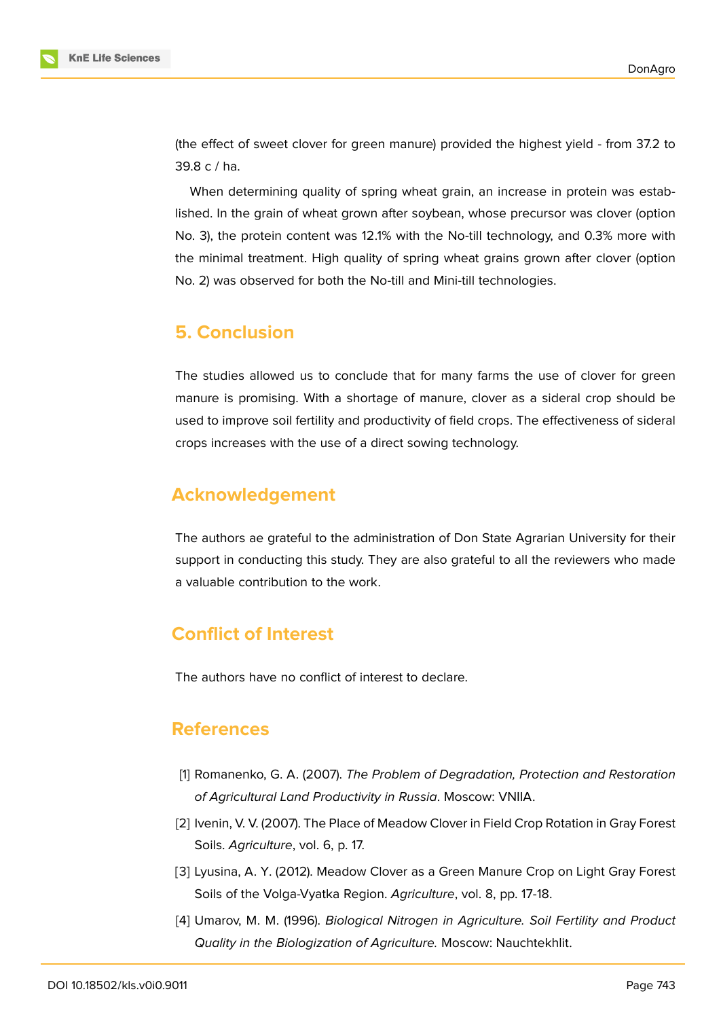

(the effect of sweet clover for green manure) provided the highest yield - from 37.2 to 39.8 c / ha.

When determining quality of spring wheat grain, an increase in protein was established. In the grain of wheat grown after soybean, whose precursor was clover (option No. 3), the protein content was 12.1% with the No-till technology, and 0.3% more with the minimal treatment. High quality of spring wheat grains grown after clover (option No. 2) was observed for both the No-till and Mini-till technologies.

### **5. Conclusion**

The studies allowed us to conclude that for many farms the use of clover for green manure is promising. With a shortage of manure, clover as a sideral crop should be used to improve soil fertility and productivity of field crops. The effectiveness of sideral crops increases with the use of a direct sowing technology.

## **Acknowledgement**

The authors ae grateful to the administration of Don State Agrarian University for their support in conducting this study. They are also grateful to all the reviewers who made a valuable contribution to the work.

# **Conflict of Interest**

The authors have no conflict of interest to declare.

### **References**

- <span id="page-5-0"></span>[1] Romanenko, G. A. (2007). *The Problem of Degradation, Protection and Restoration of Agricultural Land Productivity in Russia*. Moscow: VNIIA.
- [2] Ivenin, V. V. (2007). The Place of Meadow Clover in Field Crop Rotation in Gray Forest Soils. *Agriculture*, vol. 6, p. 17.
- [3] Lyusina, A. Y. (2012). Meadow Clover as a Green Manure Crop on Light Gray Forest Soils of the Volga-Vyatka Region. *Agriculture*, vol. 8, pp. 17-18.
- [4] Umarov, M. M. (1996). *Biological Nitrogen in Agriculture. Soil Fertility and Product Quality in the Biologization of Agriculture.* Moscow: Nauchtekhlit.